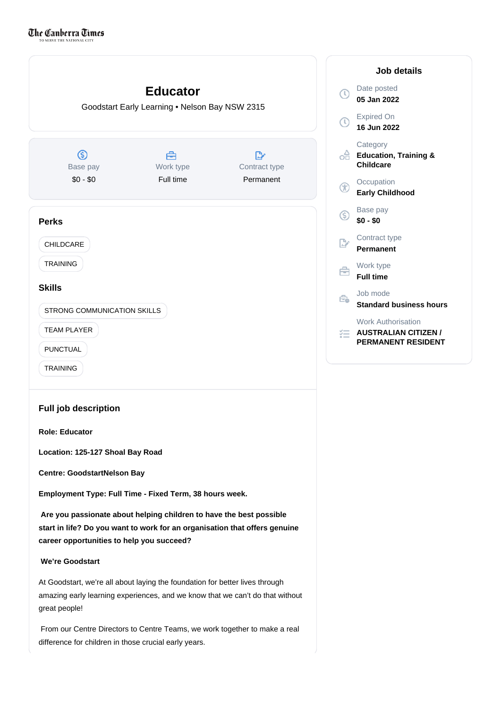

From our Centre Directors to Centre Teams, we work together to make a real

difference for children in those crucial early years.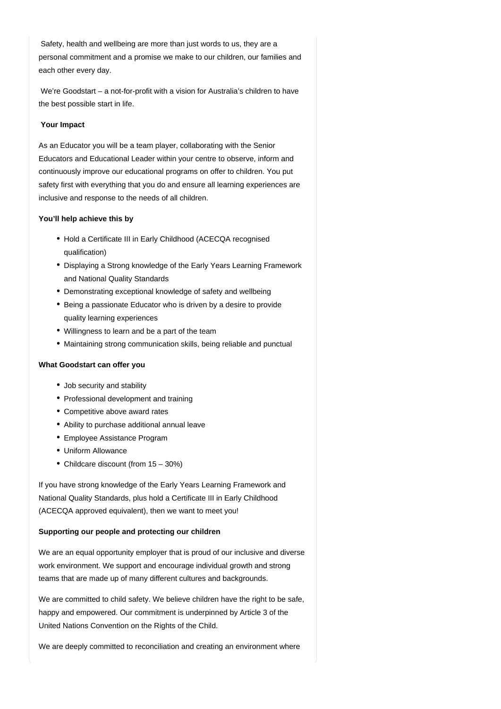Safety, health and wellbeing are more than just words to us, they are a personal commitment and a promise we make to our children, our families and each other every day.

 We're Goodstart – a not-for-profit with a vision for Australia's children to have the best possible start in life.

## **Your Impact**

As an Educator you will be a team player, collaborating with the Senior Educators and Educational Leader within your centre to observe, inform and continuously improve our educational programs on offer to children. You put safety first with everything that you do and ensure all learning experiences are inclusive and response to the needs of all children.

## **You'll help achieve this by**

- Hold a Certificate III in Early Childhood (ACECQA recognised qualification)
- Displaying a Strong knowledge of the Early Years Learning Framework and National Quality Standards
- Demonstrating exceptional knowledge of safety and wellbeing
- Being a passionate Educator who is driven by a desire to provide quality learning experiences
- Willingness to learn and be a part of the team
- Maintaining strong communication skills, being reliable and punctual

## **What Goodstart can offer you**

- Job security and stability
- Professional development and training
- Competitive above award rates
- Ability to purchase additional annual leave
- Employee Assistance Program
- Uniform Allowance
- Childcare discount (from 15 30%)

If you have strong knowledge of the Early Years Learning Framework and National Quality Standards, plus hold a Certificate III in Early Childhood (ACECQA approved equivalent), then we want to meet you!

## **Supporting our people and protecting our children**

We are an equal opportunity employer that is proud of our inclusive and diverse work environment. We support and encourage individual growth and strong teams that are made up of many different cultures and backgrounds.

We are committed to child safety. We believe children have the right to be safe, happy and empowered. Our commitment is underpinned by Article 3 of the United Nations Convention on the Rights of the Child.

We are deeply committed to reconciliation and creating an environment where